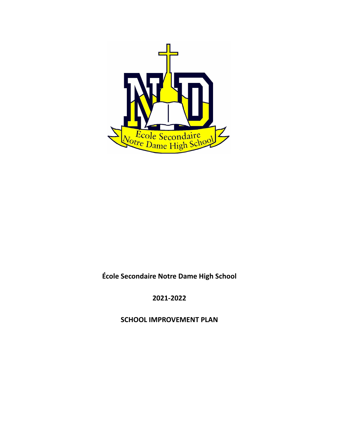

**École Secondaire Notre Dame High School**

**2021-2022**

**SCHOOL IMPROVEMENT PLAN**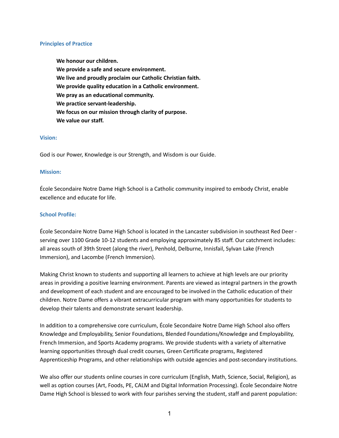### **Principles of Practice**

**We honour our children. We provide a safe and secure environment. We live and proudly proclaim our Catholic Christian faith. We provide quality education in a Catholic environment. We pray as an educational community. We practice servant-leadership. We focus on our mission through clarity of purpose. We value our staff.**

### **Vision:**

God is our Power, Knowledge is our Strength, and Wisdom is our Guide.

#### **Mission:**

École Secondaire Notre Dame High School is a Catholic community inspired to embody Christ, enable excellence and educate for life.

### **School Profile:**

École Secondaire Notre Dame High School is located in the Lancaster subdivision in southeast Red Deer serving over 1100 Grade 10-12 students and employing approximately 85 staff. Our catchment includes: all areas south of 39th Street (along the river), Penhold, Delburne, Innisfail, Sylvan Lake (French Immersion), and Lacombe (French Immersion).

Making Christ known to students and supporting all learners to achieve at high levels are our priority areas in providing a positive learning environment. Parents are viewed as integral partners in the growth and development of each student and are encouraged to be involved in the Catholic education of their children. Notre Dame offers a vibrant extracurricular program with many opportunities for students to develop their talents and demonstrate servant leadership.

In addition to a comprehensive core curriculum, École Secondaire Notre Dame High School also offers Knowledge and Employability, Senior Foundations, Blended Foundations/Knowledge and Employability, French Immersion, and Sports Academy programs. We provide students with a variety of alternative learning opportunities through dual credit courses, Green Certificate programs, Registered Apprenticeship Programs, and other relationships with outside agencies and post-secondary institutions.

We also offer our students online courses in core curriculum (English, Math, Science, Social, Religion), as well as option courses (Art, Foods, PE, CALM and Digital Information Processing). École Secondaire Notre Dame High School is blessed to work with four parishes serving the student, staff and parent population: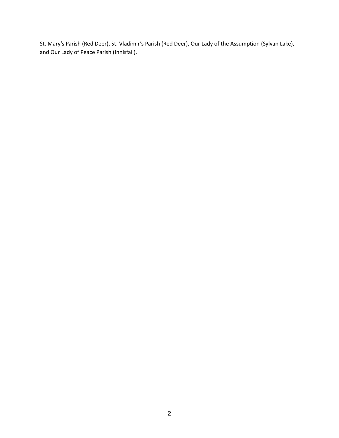St. Mary's Parish (Red Deer), St. Vladimir's Parish (Red Deer), Our Lady of the Assumption (Sylvan Lake), and Our Lady of Peace Parish (Innisfail).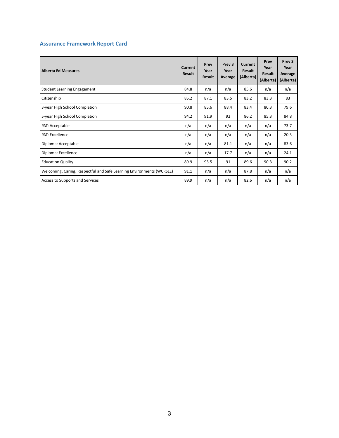# **Assurance Framework Report Card**

| Alberta Ed Measures                                                   | Current<br><b>Result</b> | Prev<br>Year<br><b>Result</b> | Prev <sub>3</sub><br>Year<br>Average | Current<br><b>Result</b><br>(Alberta) | Prev<br>Year<br>Result<br>(Alberta) | Prev <sub>3</sub><br>Year<br>Average<br>(Alberta) |
|-----------------------------------------------------------------------|--------------------------|-------------------------------|--------------------------------------|---------------------------------------|-------------------------------------|---------------------------------------------------|
| <b>Student Learning Engagement</b>                                    | 84.8                     | n/a                           | n/a                                  | 85.6                                  | n/a                                 | n/a                                               |
| Citizenship                                                           | 85.2                     | 87.1                          | 83.5                                 | 83.2                                  | 83.3                                | 83                                                |
| 3-year High School Completion                                         | 90.8                     | 85.6                          | 88.4                                 | 83.4                                  | 80.3                                | 79.6                                              |
| 5-year High School Completion                                         | 94.2                     | 91.9                          | 92                                   | 86.2                                  | 85.3                                | 84.8                                              |
| PAT: Acceptable                                                       | n/a                      | n/a                           | n/a                                  | n/a                                   | n/a                                 | 73.7                                              |
| PAT: Excellence                                                       | n/a                      | n/a                           | n/a                                  | n/a                                   | n/a                                 | 20.3                                              |
| Diploma: Acceptable                                                   | n/a                      | n/a                           | 81.1                                 | n/a                                   | n/a                                 | 83.6                                              |
| Diploma: Excellence                                                   | n/a                      | n/a                           | 17.7                                 | n/a                                   | n/a                                 | 24.1                                              |
| <b>Education Quality</b>                                              | 89.9                     | 93.5                          | 91                                   | 89.6                                  | 90.3                                | 90.2                                              |
| Welcoming, Caring, Respectful and Safe Learning Environments (WCRSLE) | 91.1                     | n/a                           | n/a                                  | 87.8                                  | n/a                                 | n/a                                               |
| Access to Supports and Services                                       | 89.9                     | n/a                           | n/a                                  | 82.6                                  | n/a                                 | n/a                                               |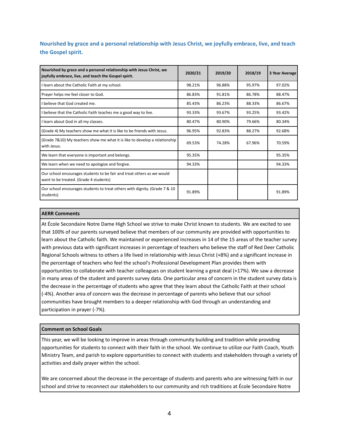**Nourished by grace and a personal relationship with Jesus Christ, we joyfully embrace, live, and teach the Gospel spirit.**

| Nourished by grace and a personal relationship with Jesus Christ, we<br>joyfully embrace, live, and teach the Gospel spirit. | 2020/21 | 2019/20 | 2018/19 | 3 Year Average |
|------------------------------------------------------------------------------------------------------------------------------|---------|---------|---------|----------------|
| I learn about the Catholic Faith at my school.                                                                               | 98.21%  | 96.88%  | 95.97%  | 97.02%         |
| Prayer helps me feel closer to God.                                                                                          | 86.83%  | 91.81%  | 86.78%  | 88.47%         |
| I believe that God created me.                                                                                               | 85.43%  | 86.23%  | 88.33%  | 86.67%         |
| I believe that the Catholic Faith teaches me a good way to live.                                                             | 93.33%  | 93.67%  | 93.25%  | 93.42%         |
| I learn about God in all my classes.                                                                                         | 80.47%  | 80.90%  | 79.66%  | 80.34%         |
| (Grade 4) My teachers show me what it is like to be friends with Jesus.                                                      | 96.95%  | 92.83%  | 88.27%  | 92.68%         |
| (Grade 7&10) My teachers show me what it is like to develop a relationship<br>with Jesus.                                    | 69.53%  | 74.28%  | 67.96%  | 70.59%         |
| We learn that everyone is important and belongs.                                                                             | 95.35%  |         |         | 95.35%         |
| We learn when we need to apologize and forgive.                                                                              | 94.33%  |         |         | 94.33%         |
| Our school encourages students to be fair and treat others as we would<br>want to be treated. (Grade 4 students)             |         |         |         |                |
| Our school encourages students to treat others with dignity. (Grade 7 & 10)<br>students)                                     | 91.89%  |         |         | 91.89%         |

### **AERR Comments**

At École Secondaire Notre Dame High School we strive to make Christ known to students. We are excited to see that 100% of our parents surveyed believe that members of our community are provided with opportunities to learn about the Catholic faith. We maintained or experienced increases in 14 of the 15 areas of the teacher survey with previous data with significant increases in percentage of teachers who believe the staff of Red Deer Catholic Regional Schools witness to others a life lived in relationship with Jesus Christ (+8%) and a significant increase in the percentage of teachers who feel the school's Professional Development Plan provides them with opportunities to collaborate with teacher colleagues on student learning a great deal (+17%). We saw a decrease in many areas of the student and parents survey data. One particular area of concern in the student survey data is the decrease in the percentage of students who agree that they learn about the Catholic Faith at their school (-4%). Another area of concern was the decrease in percentage of parents who believe that our school communities have brought members to a deeper relationship with God through an understanding and participation in prayer (-7%).

### **Comment on School Goals**

This year, we will be looking to improve in areas through community building and tradition while providing opportunities for students to connect with their faith in the school. We continue to utilize our Faith Coach, Youth Ministry Team, and parish to explore opportunities to connect with students and stakeholders through a variety of activities and daily prayer within the school.

We are concerned about the decrease in the percentage of students and parents who are witnessing faith in our school and strive to reconnect our stakeholders to our community and rich traditions at École Secondaire Notre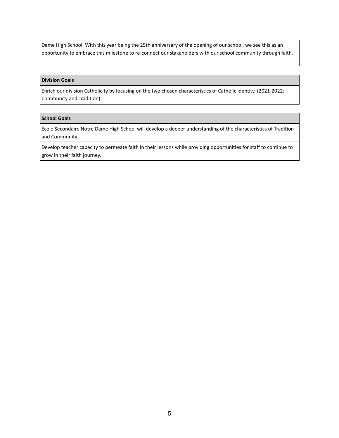Dame High School. With this year being the 25th anniversary of the opening of our school, we see this as an opportunity to embrace this milestone to re-connect our stakeholders with our school community through faith.

### **Division Goals**

Enrich our division Catholicity by focusing on the two chosen characteristics of Catholic identity. (2021-2022: Community and Tradition)

### **School Goals**

École Secondaire Notre Dame High School will develop a deeper understanding of the characteristics of Tradition and Community.

Develop teacher capacity to permeate faith in their lessons while providing opportunities for staff to continue to grow in their faith journey.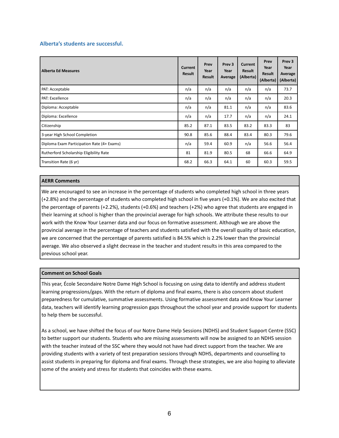### **Alberta's students are successful.**

| <b>Alberta Ed Measures</b>                 | Current<br><b>Result</b> | Prev<br>Year<br><b>Result</b> | Prev <sub>3</sub><br>Year<br>Average | Current<br><b>Result</b><br>(Alberta) | Prev<br>Year<br><b>Result</b><br>(Alberta) | Prev <sub>3</sub><br>Year<br>Average<br>(Alberta) |
|--------------------------------------------|--------------------------|-------------------------------|--------------------------------------|---------------------------------------|--------------------------------------------|---------------------------------------------------|
| PAT: Acceptable                            | n/a                      | n/a                           | n/a                                  | n/a                                   | n/a                                        | 73.7                                              |
| PAT: Excellence                            | n/a                      | n/a                           | n/a                                  | n/a                                   | n/a                                        | 20.3                                              |
| Diploma: Acceptable                        | n/a                      | n/a                           | 81.1                                 | n/a                                   | n/a                                        | 83.6                                              |
| Diploma: Excellence                        | n/a                      | n/a                           | 17.7                                 | n/a                                   | n/a                                        | 24.1                                              |
| Citizenship                                | 85.2                     | 87.1                          | 83.5                                 | 83.2                                  | 83.3                                       | 83                                                |
| 3-year High School Completion              | 90.8                     | 85.6                          | 88.4                                 | 83.4                                  | 80.3                                       | 79.6                                              |
| Diploma Exam Participation Rate (4+ Exams) | n/a                      | 59.4                          | 60.9                                 | n/a                                   | 56.6                                       | 56.4                                              |
| Rutherford Scholarship Eligibility Rate    | 81                       | 81.9                          | 80.5                                 | 68                                    | 66.6                                       | 64.9                                              |
| Transition Rate (6 yr)                     | 68.2                     | 66.3                          | 64.1                                 | 60                                    | 60.3                                       | 59.5                                              |

#### **AERR Comments**

We are encouraged to see an increase in the percentage of students who completed high school in three years (+2.8%) and the percentage of students who completed high school in five years (+0.1%). We are also excited that the percentage of parents (+2.2%), students (+0.6%) and teachers (+2%) who agree that students are engaged in their learning at school is higher than the provincial average for high schools. We attribute these results to our work with the Know Your Learner data and our focus on formative assessment. Although we are above the provincial average in the percentage of teachers and students satisfied with the overall quality of basic education, we are concerned that the percentage of parents satisfied is 84.5% which is 2.2% lower than the provincial average. We also observed a slight decrease in the teacher and student results in this area compared to the previous school year.

### **Comment on School Goals**

This year, École Secondaire Notre Dame High School is focusing on using data to identify and address student learning progressions/gaps. With the return of diploma and final exams, there is also concern about student preparedness for cumulative, summative assessments. Using formative assessment data and Know Your Learner data, teachers will identify learning progression gaps throughout the school year and provide support for students to help them be successful.

As a school, we have shifted the focus of our Notre Dame Help Sessions (NDHS) and Student Support Centre (SSC) to better support our students. Students who are missing assessments will now be assigned to an NDHS session with the teacher instead of the SSC where they would not have had direct support from the teacher. We are providing students with a variety of test preparation sessions through NDHS, departments and counselling to assist students in preparing for diploma and final exams. Through these strategies, we are also hoping to alleviate some of the anxiety and stress for students that coincides with these exams.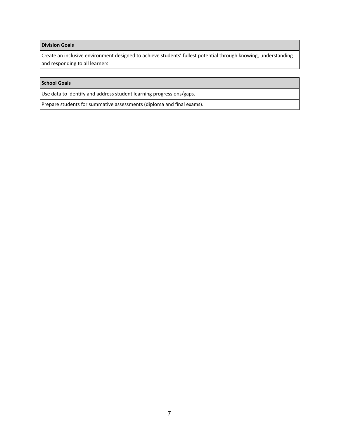### **Division Goals**

Create an inclusive environment designed to achieve students' fullest potential through knowing, understanding and responding to all learners

# **School Goals**

Use data to identify and address student learning progressions/gaps.

Prepare students for summative assessments (diploma and final exams).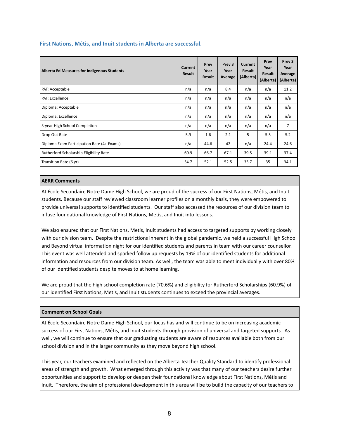|  |  | First Nations, Métis, and Inuit students in Alberta are successful. |  |  |
|--|--|---------------------------------------------------------------------|--|--|
|--|--|---------------------------------------------------------------------|--|--|

| Alberta Ed Measures for Indigenous Students | Current<br><b>Result</b> | Prev<br>Year<br><b>Result</b> | Prev <sub>3</sub><br>Year<br>Average | Current<br><b>Result</b><br>(Alberta) | Prev<br>Year<br>Result<br>(Alberta) | Prev <sub>3</sub><br>Year<br>Average<br>(Alberta) |
|---------------------------------------------|--------------------------|-------------------------------|--------------------------------------|---------------------------------------|-------------------------------------|---------------------------------------------------|
| PAT: Acceptable                             | n/a                      | n/a                           | 8.4                                  | n/a                                   | n/a                                 | 11.2                                              |
| <b>PAT: Excellence</b>                      | n/a                      | n/a                           | n/a                                  | n/a                                   | n/a                                 | n/a                                               |
| Diploma: Acceptable                         | n/a                      | n/a                           | n/a                                  | n/a                                   | n/a                                 | n/a                                               |
| Diploma: Excellence                         | n/a                      | n/a                           | n/a                                  | n/a                                   | n/a                                 | n/a                                               |
| 3-year High School Completion               | n/a                      | n/a                           | n/a                                  | n/a                                   | n/a                                 | $\overline{7}$                                    |
| Drop Out Rate                               | 5.9                      | 1.6                           | 2.1                                  | 5                                     | 5.5                                 | 5.2                                               |
| Diploma Exam Participation Rate (4+ Exams)  | n/a                      | 44.6                          | 42                                   | n/a                                   | 24.4                                | 24.6                                              |
| Rutherford Scholarship Eligibility Rate     | 60.9                     | 66.7                          | 67.1                                 | 39.5                                  | 39.1                                | 37.4                                              |
| Transition Rate (6 yr)                      | 54.7                     | 52.1                          | 52.5                                 | 35.7                                  | 35                                  | 34.1                                              |

### **AERR Comments**

At École Secondaire Notre Dame High School, we are proud of the success of our First Nations, Métis, and Inuit students. Because our staff reviewed classroom learner profiles on a monthly basis, they were empowered to provide universal supports to identified students. Our staff also accessed the resources of our division team to infuse foundational knowledge of First Nations, Metis, and Inuit into lessons.

We also ensured that our First Nations, Metis, Inuit students had access to targeted supports by working closely with our division team. Despite the restrictions inherent in the global pandemic, we held a successful High School and Beyond virtual information night for our identified students and parents in team with our career counsellor. This event was well attended and sparked follow up requests by 19% of our identified students for additional information and resources from our division team. As well, the team was able to meet individually with over 80% of our identified students despite moves to at home learning.

We are proud that the high school completion rate (70.6%) and eligibility for Rutherford Scholarships (60.9%) of our identified First Nations, Metis, and Inuit students continues to exceed the provincial averages.

## **Comment on School Goals**

At École Secondaire Notre Dame High School, our focus has and will continue to be on increasing academic success of our First Nations, Métis, and Inuit students through provision of universal and targeted supports. As well, we will continue to ensure that our graduating students are aware of resources available both from our school division and in the larger community as they move beyond high school.

This year, our teachers examined and reflected on the Alberta Teacher Quality Standard to identify professional areas of strength and growth. What emerged through this activity was that many of our teachers desire further opportunities and support to develop or deepen their foundational knowledge about First Nations, Métis and Inuit. Therefore, the aim of professional development in this area will be to build the capacity of our teachers to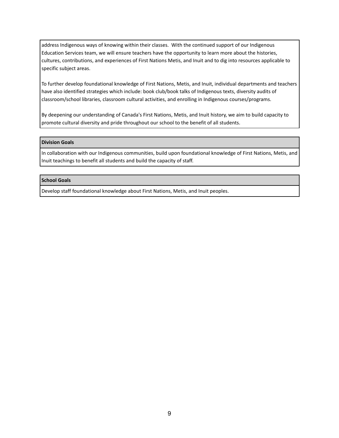address Indigenous ways of knowing within their classes. With the continued support of our Indigenous Education Services team, we will ensure teachers have the opportunity to learn more about the histories, cultures, contributions, and experiences of First Nations Metis, and Inuit and to dig into resources applicable to specific subject areas.

To further develop foundational knowledge of First Nations, Metis, and Inuit, individual departments and teachers have also identified strategies which include: book club/book talks of Indigenous texts, diversity audits of classroom/school libraries, classroom cultural activities, and enrolling in Indigenous courses/programs.

By deepening our understanding of Canada's First Nations, Metis, and Inuit history, we aim to build capacity to promote cultural diversity and pride throughout our school to the benefit of all students.

#### **Division Goals**

In collaboration with our Indigenous communities, build upon foundational knowledge of First Nations, Metis, and Inuit teachings to benefit all students and build the capacity of staff.

### **School Goals**

Develop staff foundational knowledge about First Nations, Metis, and Inuit peoples.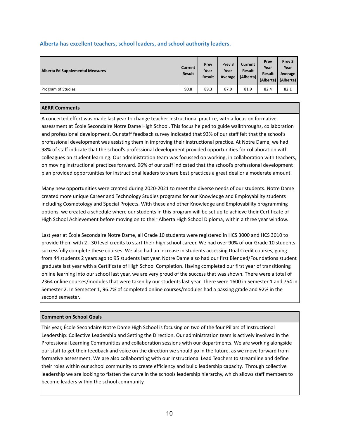## **Alberta has excellent teachers, school leaders, and school authority leaders.**

| Alberta Ed Supplemental Measures | Current<br>Result | Prev<br>Year<br><b>Result</b> | Prev <sub>3</sub><br>Year<br>Average | Current<br><b>Result</b><br>(Alberta) | Prev<br>Year<br><b>Result</b><br>(Alberta) | Prev <sub>3</sub><br>Year<br>Average<br>(Alberta) |
|----------------------------------|-------------------|-------------------------------|--------------------------------------|---------------------------------------|--------------------------------------------|---------------------------------------------------|
| Program of Studies               | 90.8              | 89.3                          | 87.9                                 | 81.9                                  | 82.4                                       | 82.1                                              |

### **AERR Comments**

A concerted effort was made last year to change teacher instructional practice, with a focus on formative assessment at École Secondaire Notre Dame High School. This focus helped to guide walkthroughs, collaboration and professional development. Our staff feedback survey indicated that 93% of our staff felt that the school's professional development was assisting them in improving their instructional practice. At Notre Dame, we had 98% of staff indicate that the school's professional development provided opportunities for collaboration with colleagues on student learning. Our administration team was focussed on working, in collaboration with teachers, on moving instructional practices forward. 96% of our staff indicated that the school's professional development plan provided opportunities for instructional leaders to share best practices a great deal or a moderate amount.

Many new opportunities were created during 2020-2021 to meet the diverse needs of our students. Notre Dame created more unique Career and Technology Studies programs for our Knowledge and Employability students including Cosmetology and Special Projects. With these and other Knowledge and Employability programming options, we created a schedule where our students in this program will be set up to achieve their Certificate of High School Achievement before moving on to their Alberta High School Diploma, within a three year window.

Last year at École Secondaire Notre Dame, all Grade 10 students were registered in HCS 3000 and HCS 3010 to provide them with 2 - 30 level credits to start their high school career. We had over 90% of our Grade 10 students successfully complete these courses. We also had an increase in students accessing Dual Credit courses, going from 44 students 2 years ago to 95 students last year. Notre Dame also had our first Blended/Foundations student graduate last year with a Certificate of High School Completion. Having completed our first year of transitioning online learning into our school last year, we are very proud of the success that was shown. There were a total of 2364 online courses/modules that were taken by our students last year. There were 1600 in Semester 1 and 764 in Semester 2. In Semester 1, 96.7% of completed online courses/modules had a passing grade and 92% in the second semester.

### **Comment on School Goals**

This year, École Secondaire Notre Dame High School is focusing on two of the four Pillars of Instructional Leadership: Collective Leadership and Setting the Direction. Our administration team is actively involved in the Professional Learning Communities and collaboration sessions with our departments. We are working alongside our staff to get their feedback and voice on the direction we should go in the future, as we move forward from formative assessment. We are also collaborating with our Instructional Lead Teachers to streamline and define their roles within our school community to create efficiency and build leadership capacity. Through collective leadership we are looking to flatten the curve in the schools leadership hierarchy, which allows staff members to become leaders within the school community.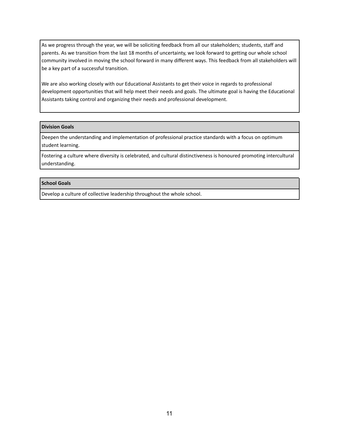As we progress through the year, we will be soliciting feedback from all our stakeholders; students, staff and parents. As we transition from the last 18 months of uncertainty, we look forward to getting our whole school community involved in moving the school forward in many different ways. This feedback from all stakeholders will be a key part of a successful transition.

We are also working closely with our Educational Assistants to get their voice in regards to professional development opportunities that will help meet their needs and goals. The ultimate goal is having the Educational Assistants taking control and organizing their needs and professional development.

#### **Division Goals**

Deepen the understanding and implementation of professional practice standards with a focus on optimum student learning.

Fostering a culture where diversity is celebrated, and cultural distinctiveness is honoured promoting intercultural understanding.

### **School Goals**

Develop a culture of collective leadership throughout the whole school.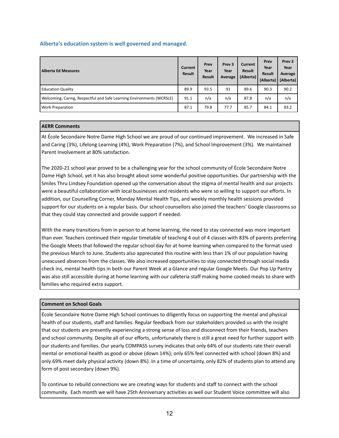### **Alberta's education system is well governed and managed.**

| <b>Alberta Ed Measures</b>                                            | Current<br><b>Result</b> | Prev<br>Year<br><b>Result</b> | Prev <sub>3</sub><br>Year<br>Average | Current<br><b>Result</b><br>(Alberta) | Prev<br>Year<br><b>Result</b><br>(Alberta) | Prev <sub>3</sub><br>Year<br>Average<br>(Alberta) |
|-----------------------------------------------------------------------|--------------------------|-------------------------------|--------------------------------------|---------------------------------------|--------------------------------------------|---------------------------------------------------|
| <b>Education Quality</b>                                              | 89.9                     | 93.5                          | 91                                   | 89.6                                  | 90.3                                       | 90.2                                              |
| Welcoming, Caring, Respectful and Safe Learning Environments (WCRSLE) | 91.1                     | n/a                           | n/a                                  | 87.8                                  | n/a                                        | n/a                                               |
| <b>Work Preparation</b>                                               | 87.1                     | 79.8                          | 77.7                                 | 85.7                                  | 84.1                                       | 83.2                                              |

### **AERR Comments**

At École Secondaire Notre Dame High School we are proud of our continued improvement. We increased in Safe and Caring (3%), Lifelong Learning (4%), Work Preparation (7%), and School Improvement (3%). We maintained Parent Involvement at 80% satisfaction.

The 2020-21 school year proved to be a challenging year for the school community of École Secondaire Notre Dame High School, yet it has also brought about some wonderful positive opportunities. Our partnership with the Smiles Thru Lindsey Foundation opened up the conversation about the stigma of mental health and our projects were a beautiful collaboration with local businesses and residents who were so willing to support our efforts. In addition, our Counselling Corner, Monday Mental Health Tips, and weekly monthly health sessions provided support for our students on a regular basis. Our school counsellors also joined the teachers' Google classrooms so that they could stay connected and provide support if needed.

With the many transitions from in person to at home learning, the need to stay connected was more important than ever. Teachers continued their regular timetable of teaching 4 out of 4 classes with 83% of parents preferring the Google Meets that followed the regular school day for at home learning when compared to the format used the previous March to June. Students also appreciated this routine with less than 1% of our population having unexcused absences from the classes. We also increased opportunities to stay connected through social media check ins, mental health tips in both our Parent Week at a Glance and regular Google Meets. Our Pop Up Pantry was also still accessible during at home learning with our cafeteria staff making home cooked meals to share with families who required extra support.

#### **Comment on School Goals**

École Secondaire Notre Dame High School continues to diligently focus on supporting the mental and physical health of our students, staff and families. Regular feedback from our stakeholders provided us with the insight that our students are presently experiencing a strong sense of loss and disconnect from their friends, teachers and school community. Despite all of our efforts, unfortunately there is still a great need for further support with our students and families. Our yearly COMPASS survey indicates that only 64% of our students rate their overall mental or emotional health as good or above (down 14%); only 65% feel connected with school (down 8%) and only 69% meet daily physical activity (down 8%). In a time of uncertainty, only 82% of students plan to attend any form of post secondary (down 9%).

To continue to rebuild connections we are creating ways for students and staff to connect with the school community. Each month we will have 25th Anniversary activities as well our Student Voice committee will also